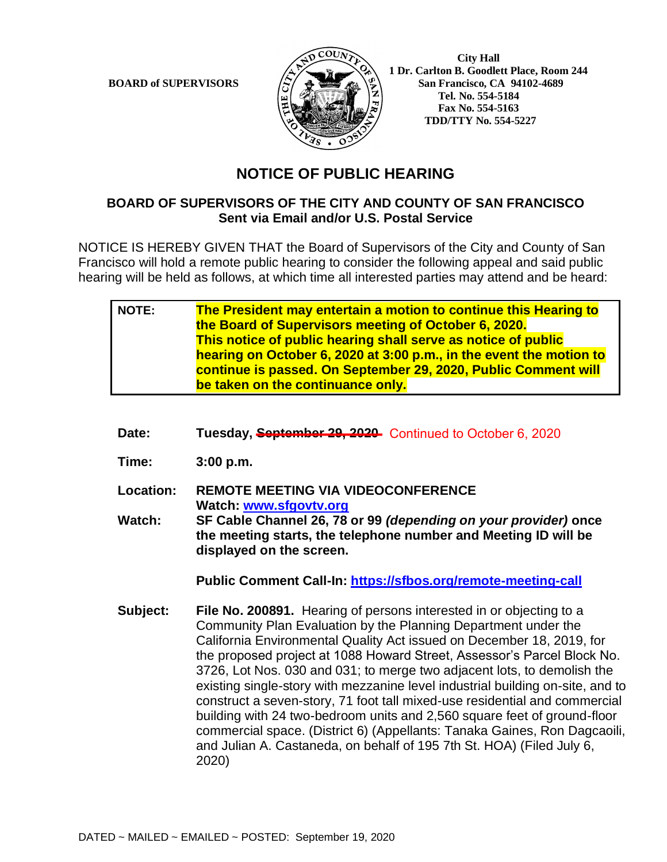

 **City Hall 1 Dr. Carlton B. Goodlett Place, Room 244 BOARD of SUPERVISORS**  $\left\langle \frac{S}{S} \right\rangle$   $\oplus$   $\left\langle \frac{S}{S} \right\rangle$  San Francisco, CA 94102-4689  **Tel. No. 554-5184 Fax No. 554-5163 TDD/TTY No. 554-5227**

## **NOTICE OF PUBLIC HEARING**

## **BOARD OF SUPERVISORS OF THE CITY AND COUNTY OF SAN FRANCISCO Sent via Email and/or U.S. Postal Service**

NOTICE IS HEREBY GIVEN THAT the Board of Supervisors of the City and County of San Francisco will hold a remote public hearing to consider the following appeal and said public hearing will be held as follows, at which time all interested parties may attend and be heard:

| <b>NOTE:</b> | The President may entertain a motion to continue this Hearing to    |
|--------------|---------------------------------------------------------------------|
|              | the Board of Supervisors meeting of October 6, 2020.                |
|              | This notice of public hearing shall serve as notice of public       |
|              | hearing on October 6, 2020 at 3:00 p.m., in the event the motion to |
|              | continue is passed. On September 29, 2020, Public Comment will      |
|              | be taken on the continuance only.                                   |

- Date: Tuesday, **September 29, 2020** Continued to October 6, 2020
- **Time: 3:00 p.m.**
- **Location: REMOTE MEETING VIA VIDEOCONFERENCE Watch: [www.sfgovtv.org](http://www.sfgovtv.org/) Watch: SF Cable Channel 26, 78 or 99** *(depending on your provider)* **once**
- **the meeting starts, the telephone number and Meeting ID will be displayed on the screen.**

**Public Comment Call-In:<https://sfbos.org/remote-meeting-call>**

**Subject: File No. 200891.** Hearing of persons interested in or objecting to a Community Plan Evaluation by the Planning Department under the California Environmental Quality Act issued on December 18, 2019, for the proposed project at 1088 Howard Street, Assessor's Parcel Block No. 3726, Lot Nos. 030 and 031; to merge two adjacent lots, to demolish the existing single-story with mezzanine level industrial building on-site, and to construct a seven-story, 71 foot tall mixed-use residential and commercial building with 24 two-bedroom units and 2,560 square feet of ground-floor commercial space. (District 6) (Appellants: Tanaka Gaines, Ron Dagcaoili, and Julian A. Castaneda, on behalf of 195 7th St. HOA) (Filed July 6, 2020)